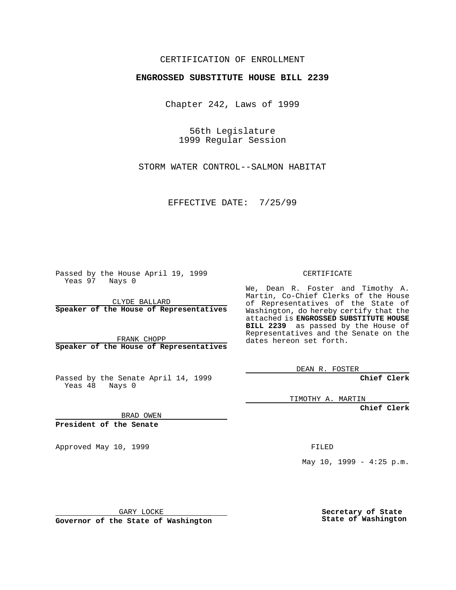## CERTIFICATION OF ENROLLMENT

## **ENGROSSED SUBSTITUTE HOUSE BILL 2239**

Chapter 242, Laws of 1999

56th Legislature 1999 Regular Session

STORM WATER CONTROL--SALMON HABITAT

EFFECTIVE DATE: 7/25/99

Passed by the House April 19, 1999 Yeas 97 Nays 0

CLYDE BALLARD **Speaker of the House of Representatives**

FRANK CHOPP **Speaker of the House of Representatives**

Passed by the Senate April 14, 1999 Yeas 48 Nays 0

CERTIFICATE

We, Dean R. Foster and Timothy A. Martin, Co-Chief Clerks of the House of Representatives of the State of Washington, do hereby certify that the attached is **ENGROSSED SUBSTITUTE HOUSE BILL 2239** as passed by the House of Representatives and the Senate on the dates hereon set forth.

DEAN R. FOSTER

**Chief Clerk**

TIMOTHY A. MARTIN

**Chief Clerk**

BRAD OWEN

**President of the Senate**

Approved May 10, 1999 **FILED** 

May  $10$ ,  $1999 - 4:25$  p.m.

GARY LOCKE

**Governor of the State of Washington**

**Secretary of State State of Washington**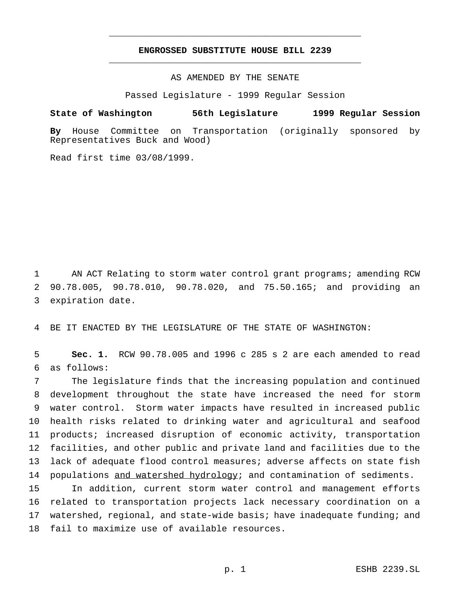## **ENGROSSED SUBSTITUTE HOUSE BILL 2239** \_\_\_\_\_\_\_\_\_\_\_\_\_\_\_\_\_\_\_\_\_\_\_\_\_\_\_\_\_\_\_\_\_\_\_\_\_\_\_\_\_\_\_\_\_\_\_

\_\_\_\_\_\_\_\_\_\_\_\_\_\_\_\_\_\_\_\_\_\_\_\_\_\_\_\_\_\_\_\_\_\_\_\_\_\_\_\_\_\_\_\_\_\_\_

AS AMENDED BY THE SENATE

Passed Legislature - 1999 Regular Session

## **State of Washington 56th Legislature 1999 Regular Session**

**By** House Committee on Transportation (originally sponsored by Representatives Buck and Wood)

Read first time 03/08/1999.

1 AN ACT Relating to storm water control grant programs; amending RCW 2 90.78.005, 90.78.010, 90.78.020, and 75.50.165; and providing an 3 expiration date.

4 BE IT ENACTED BY THE LEGISLATURE OF THE STATE OF WASHINGTON:

5 **Sec. 1.** RCW 90.78.005 and 1996 c 285 s 2 are each amended to read 6 as follows:

 The legislature finds that the increasing population and continued development throughout the state have increased the need for storm water control. Storm water impacts have resulted in increased public health risks related to drinking water and agricultural and seafood products; increased disruption of economic activity, transportation facilities, and other public and private land and facilities due to the lack of adequate flood control measures; adverse affects on state fish 14 populations and watershed hydrology; and contamination of sediments.

 In addition, current storm water control and management efforts related to transportation projects lack necessary coordination on a watershed, regional, and state-wide basis; have inadequate funding; and fail to maximize use of available resources.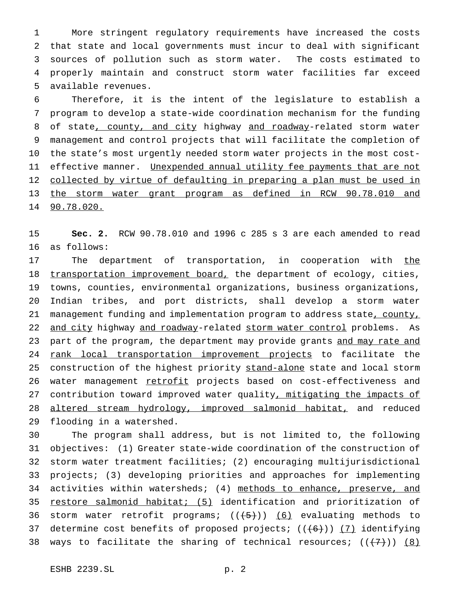More stringent regulatory requirements have increased the costs that state and local governments must incur to deal with significant sources of pollution such as storm water. The costs estimated to properly maintain and construct storm water facilities far exceed available revenues.

 Therefore, it is the intent of the legislature to establish a program to develop a state-wide coordination mechanism for the funding 8 of state, county, and city highway and roadway-related storm water management and control projects that will facilitate the completion of the state's most urgently needed storm water projects in the most cost-11 effective manner. Unexpended annual utility fee payments that are not 12 collected by virtue of defaulting in preparing a plan must be used in the storm water grant program as defined in RCW 90.78.010 and 90.78.020.

15 **Sec. 2.** RCW 90.78.010 and 1996 c 285 s 3 are each amended to read 16 as follows:

17 The department of transportation, in cooperation with the 18 transportation improvement board, the department of ecology, cities, 19 towns, counties, environmental organizations, business organizations, 20 Indian tribes, and port districts, shall develop a storm water 21 management funding and implementation program to address state, county, 22 and city highway and roadway-related storm water control problems. As 23 part of the program, the department may provide grants and may rate and 24 rank local transportation improvement projects to facilitate the 25 construction of the highest priority stand-alone state and local storm 26 water management retrofit projects based on cost-effectiveness and 27 contribution toward improved water quality, mitigating the impacts of 28 altered stream hydrology, improved salmonid habitat, and reduced 29 flooding in a watershed.

30 The program shall address, but is not limited to, the following 31 objectives: (1) Greater state-wide coordination of the construction of 32 storm water treatment facilities; (2) encouraging multijurisdictional 33 projects; (3) developing priorities and approaches for implementing 34 activities within watersheds; (4) methods to enhance, preserve, and 35 restore salmonid habitat; (5) identification and prioritization of 36 storm water retrofit programs;  $((+5))$   $(6)$  evaluating methods to 37 determine cost benefits of proposed projects;  $((+6))$  (7) identifying 38 ways to facilitate the sharing of technical resources;  $((+7))$  (8)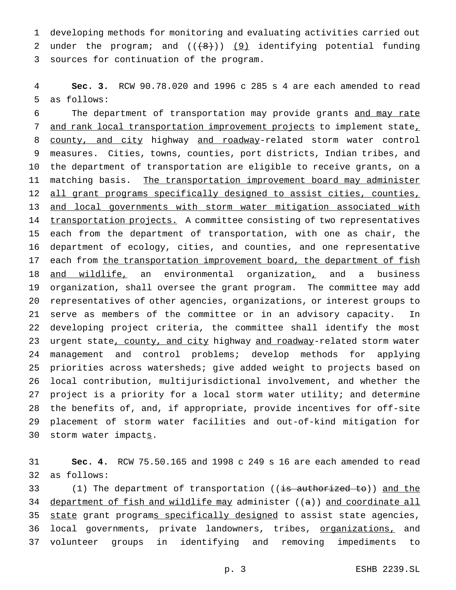1 developing methods for monitoring and evaluating activities carried out 2 under the program; and  $((\{8\})$ ) (9) identifying potential funding 3 sources for continuation of the program.

4 **Sec. 3.** RCW 90.78.020 and 1996 c 285 s 4 are each amended to read 5 as follows:

6 The department of transportation may provide grants and may rate 7 and rank local transportation improvement projects to implement state, 8 county, and city highway and roadway-related storm water control 9 measures. Cities, towns, counties, port districts, Indian tribes, and 10 the department of transportation are eligible to receive grants, on a 11 matching basis. The transportation improvement board may administer 12 all grant programs specifically designed to assist cities, counties, 13 and local governments with storm water mitigation associated with 14 transportation projects. A committee consisting of two representatives 15 each from the department of transportation, with one as chair, the 16 department of ecology, cities, and counties, and one representative 17 each from the transportation improvement board, the department of fish 18 and wildlife, an environmental organization, and a business 19 organization, shall oversee the grant program. The committee may add 20 representatives of other agencies, organizations, or interest groups to 21 serve as members of the committee or in an advisory capacity. In 22 developing project criteria, the committee shall identify the most 23 urgent state, county, and city highway and roadway-related storm water 24 management and control problems; develop methods for applying 25 priorities across watersheds; give added weight to projects based on 26 local contribution, multijurisdictional involvement, and whether the 27 project is a priority for a local storm water utility; and determine 28 the benefits of, and, if appropriate, provide incentives for off-site 29 placement of storm water facilities and out-of-kind mitigation for 30 storm water impacts.

31 **Sec. 4.** RCW 75.50.165 and 1998 c 249 s 16 are each amended to read 32 as follows:

33 (1) The department of transportation ((is authorized to)) and the 34 department of fish and wildlife may administer ((a)) and coordinate all 35 state grant programs specifically designed to assist state agencies, 36 local governments, private landowners, tribes, organizations, and 37 volunteer groups in identifying and removing impediments to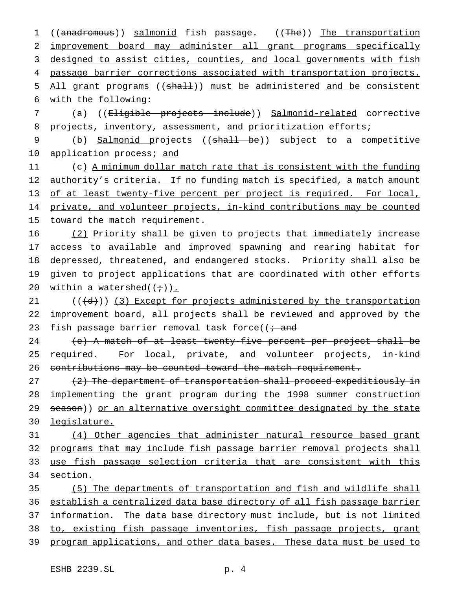1 ((anadromous)) salmonid fish passage. ((The)) The transportation 2 improvement board may administer all grant programs specifically 3 designed to assist cities, counties, and local governments with fish 4 passage barrier corrections associated with transportation projects. 5 All grant programs ((shall)) must be administered and be consistent 6 with the following: 7 (a) ((Eligible projects include)) Salmonid-related corrective 8 projects, inventory, assessment, and prioritization efforts; 9 (b) Salmonid projects ((shall be)) subject to a competitive 10 application process; and 11 (c) A minimum dollar match rate that is consistent with the funding 12 authority's criteria. If no funding match is specified, a match amount 13 of at least twenty-five percent per project is required. For local, 14 private, and volunteer projects, in-kind contributions may be counted 15 toward the match requirement. 16 (2) Priority shall be given to projects that immediately increase 17 access to available and improved spawning and rearing habitat for 18 depressed, threatened, and endangered stocks. Priority shall also be 19 given to project applications that are coordinated with other efforts 20 within a watershed $((\div))$ . 21  $((\{d\})$  (3) Except for projects administered by the transportation 22 improvement board, all projects shall be reviewed and approved by the 23 fish passage barrier removal task force( $\overline{t}$  and 24 (e) A match of at least twenty-five percent per project shall be

25 required. For local, private, and volunteer projects, in-kind 26 contributions may be counted toward the match requirement.

27 (2) The department of transportation shall proceed expeditiously in 28 implementing the grant program during the 1998 summer construction 29 season)) or an alternative oversight committee designated by the state 30 legislature.

 (4) Other agencies that administer natural resource based grant programs that may include fish passage barrier removal projects shall use fish passage selection criteria that are consistent with this 34 section.

35 (5) The departments of transportation and fish and wildlife shall 36 establish a centralized data base directory of all fish passage barrier 37 information. The data base directory must include, but is not limited 38 to, existing fish passage inventories, fish passage projects, grant 39 program applications, and other data bases. These data must be used to